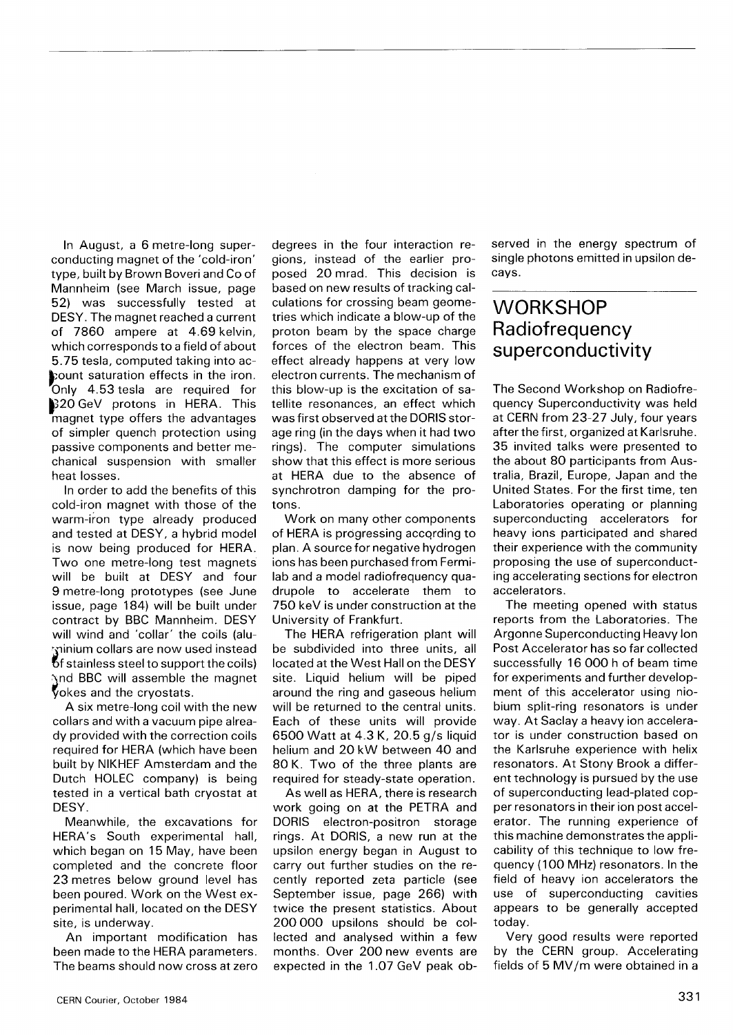In August, a 6 metre-long superconducting magnet of the 'cold-iron' type, built by Brown Boveri and Co of Mannheim (see March issue, page 52) was successfully tested at DESY. The magnet reached a current of 7860 ampere at 4.69 kelvin, which corresponds to a field of about 5.75 tesla, computed taking into account saturation effects in the iron. Only 4.53 tesla are required for 320 GeV protons in HERA. This magnet type offers the advantages of simpler quench protection using passive components and better mechanical suspension with smaller heat losses.

In order to add the benefits of this cold-iron magnet with those of the warm-iron type already produced and tested at DESY, a hybrid model is now being produced for HERA. Two one metre-long test magnets will be built at DESY and four 9 metre-long prototypes (see June issue, page 184) will be built under contract by BBC Mannheim. DESY will wind and 'collar' the coils (aluminium collars are now used instead *of* stainless steel to support the coils) and BBC will assemble the magnet okes and the cryostats.

A six metre-long coil with the new collars and with a vacuum pipe already provided with the correction coils required for HERA (which have been built by NIKHEF Amsterdam and the Dutch HOLEC company) is being tested in a vertical bath cryostat at DESY.

Meanwhile, the excavations for HERA's South experimental hall, which began on 15 May, have been completed and the concrete floor 23 metres below ground level has been poured. Work on the West experimental hall, located on the DESY site, is underway.

An important modification has been made to the HERA parameters. The beams should now cross at zero degrees in the four interaction regions, instead of the earlier proposed 20 mrad. This decision is based on new results of tracking calculations for crossing beam geometries which indicate a blow-up of the proton beam by the space charge forces of the electron beam. This effect already happens at very low electron currents. The mechanism of this blow-up is the excitation of satellite resonances, an effect which was first observed at the DORIS storage ring (in the days when it had two rings). The computer simulations show that this effect is more serious at HERA due to the absence of synchrotron damping for the protons.

Work on many other components of HERA is progressing accqrding to plan. A source for negative hydrogen ions has been purchased from Fermilab and a model radiofrequency quadrupole to accelerate them to 750 keV is under construction at the University of Frankfurt.

The HERA refrigeration plant will be subdivided into three units, all located at the West Hall on the DESY site. Liquid helium will be piped around the ring and gaseous helium will be returned to the central units. Each of these units will provide 6500 Watt at 4.3 K, 20.5 g/s liquid helium and 20 kW between 40 and 80 K. Two of the three plants are required for steady-state operation.

As well as HERA, there is research work going on at the PETRA and DORIS electron-positron storage rings. At DORIS, a new run at the upsilon energy began in August to carry out further studies on the recently reported zeta particle (see September issue, page 266) with twice the present statistics. About 200 000 upsilons should be collected and analysed within a few months. Over 200 new events are expected in the 1.07 GeV peak observed in the energy spectrum of single photons emitted in upsilon decays.

## **WORKSHOP Radiofrequency** superconductivity

The Second Workshop on Radiofrequency Superconductivity was held at CERN from 23-27 July, four years after the first, organized at Karlsruhe. 35 invited talks were presented to the about 80 participants from Australia, Brazil, Europe, Japan and the United States. For the first time, ten Laboratories operating or planning superconducting accelerators for heavy ions participated and shared their experience with the community proposing the use of superconducting accelerating sections for electron accelerators.

The meeting opened with status reports from the Laboratories. The Argonne Superconducting Heavy Ion Post Accelerator has so far collected successfully 16 000 h of beam time for experiments and further development of this accelerator using niobium split-ring resonators is under way. At Saclay a heavy ion accelerator is under construction based on the Karlsruhe experience with helix resonators. At Stony Brook a different technology is pursued by the use of superconducting lead-plated copper resonators in their ion post accelerator. The running experience of this machine demonstrates the applicability of this technique to low frequency (100 MHz) resonators. In the field of heavy ion accelerators the use of superconducting cavities appears to be generally accepted today.

Very good results were reported by the CERN group. Accelerating fields of 5 MV/m were obtained in a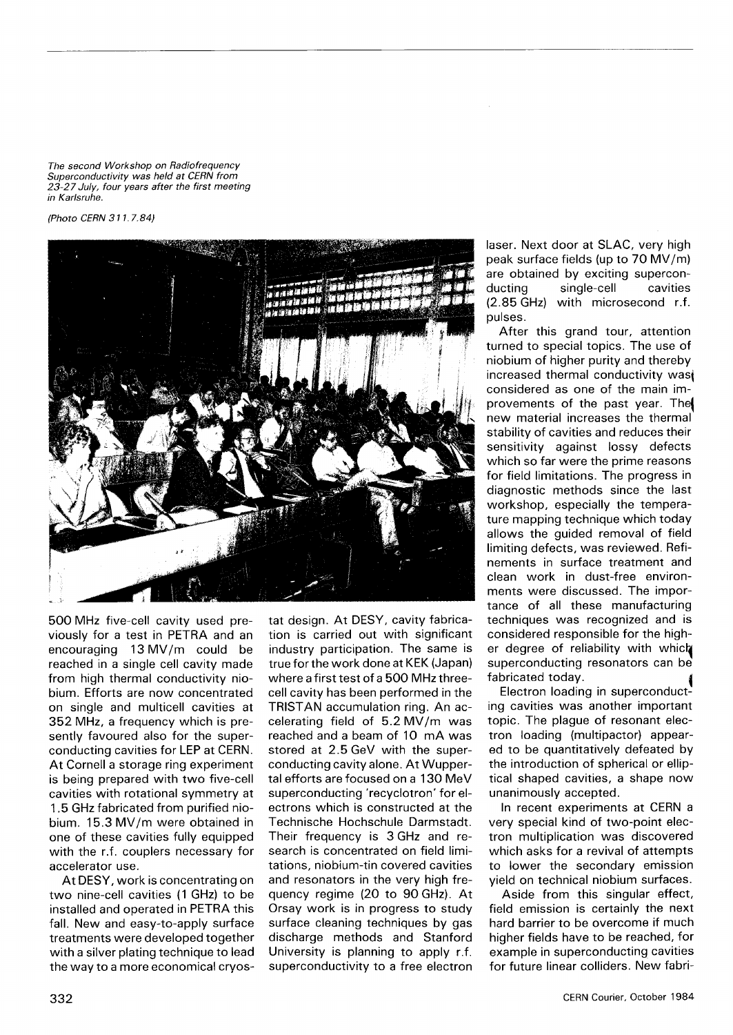*The second Workshop on Radiofrequency Superconductivity was held at CERN from 23-27 July, four years after the first meeting in Karlsruhe.* 

*(Photo CERN 311.7.84)* 



500 MHz five-cell cavity used previously for a test in PETRA and an encouraging 13 MV/m could be reached in a single cell cavity made from high thermal conductivity niobium. Efforts are now concentrated on single and multicell cavities at 352 MHz, a frequency which is presently favoured also for the superconducting cavities for LEP at CERN. At Cornell a storage ring experiment is being prepared with two five-cell cavities with rotational symmetry at 1.5 GHz fabricated from purified niobium. 15.3 MV/m were obtained in one of these cavities fully equipped with the r.f. couplers necessary for accelerator use.

At DESY, work is concentrating on two nine-cell cavities (1 GHz) to be installed and operated in PETRA this fall. New and easy-to-apply surface treatments were developed together with a silver plating technique to lead the way to a more economical cryostat design. At DESY, cavity fabrication is carried out with significant industry participation. The same is true for the work done at KEK (Japan) where a first test of a 500 MHz threecell cavity has been performed in the TRISTAN accumulation ring. An accelerating field of  $5.2$  MV/m was reached and a beam of 10 mA was stored at 2.5 GeV with the superconducting cavity alone. At Wuppertal efforts are focused on a 130 MeV superconducting 'recyclotron' for electrons which is constructed at the Technische Hochschule Darmstadt. Their frequency is 3 GHz and research is concentrated on field limitations, niobium-tin covered cavities and resonators in the very high frequency regime (20 to 90 GHz). At Orsay work is in progress to study surface cleaning techniques by gas discharge methods and Stanford University is planning to apply r.f. superconductivity to a free electron laser. Next door at SLAC, very high peak surface fields (up to 70 MV/m) are obtained by exciting superconducting single-cell cavities (2.85 GHz) with microsecond r.f. pulses.

After this grand tour, attention turned to special topics. The use of niobium of higher purity and thereby increased thermal conductivity was considered as one of the main improvements of the past year. The| new material increases the thermal stability of cavities and reduces their sensitivity against lossy defects which so far were the prime reasons for field limitations. The progress in diagnostic methods since the last workshop, especially the temperature mapping technique which today allows the guided removal of field limiting defects, was reviewed. Refinements in surface treatment and clean work in dust-free environments were discussed. The importance of all these manufacturing techniques was recognized and is considered responsible for the higher degree of reliability with which superconducting resonators can be fabricated today. ^

Electron loading in superconducting cavities was another important topic. The plague of resonant electron loading (multipactor) appeared to be quantitatively defeated by the introduction of spherical or elliptical shaped cavities, a shape now unanimously accepted.

In recent experiments at CERN a very special kind of two-point electron multiplication was discovered which asks for a revival of attempts to lower the secondary emission yield on technical niobium surfaces.

Aside from this singular effect, field emission is certainly the next hard barrier to be overcome if much higher fields have to be reached, for example in superconducting cavities for future linear colliders. New fabri